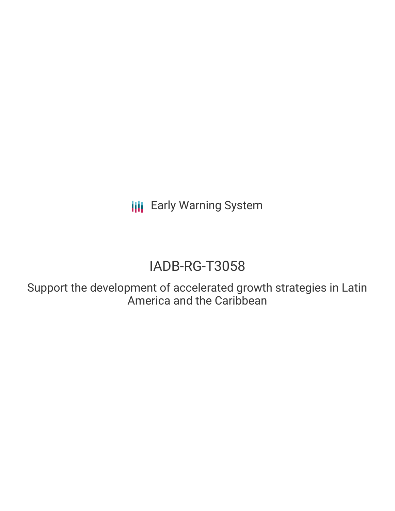**III** Early Warning System

# IADB-RG-T3058

Support the development of accelerated growth strategies in Latin America and the Caribbean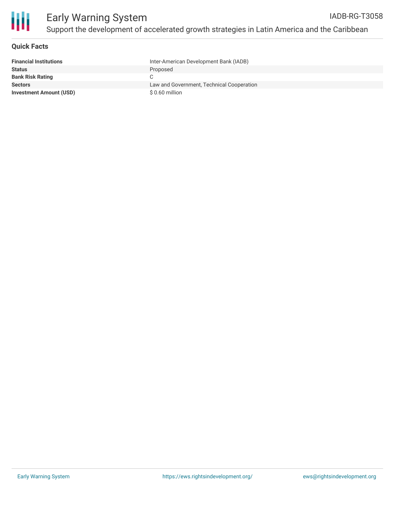

### **Quick Facts**

| <b>Financial Institutions</b>  | Inter-American Development Bank (IADB)    |
|--------------------------------|-------------------------------------------|
| <b>Status</b>                  | Proposed                                  |
| <b>Bank Risk Rating</b>        | C                                         |
| <b>Sectors</b>                 | Law and Government, Technical Cooperation |
| <b>Investment Amount (USD)</b> | \$ 0.60 million                           |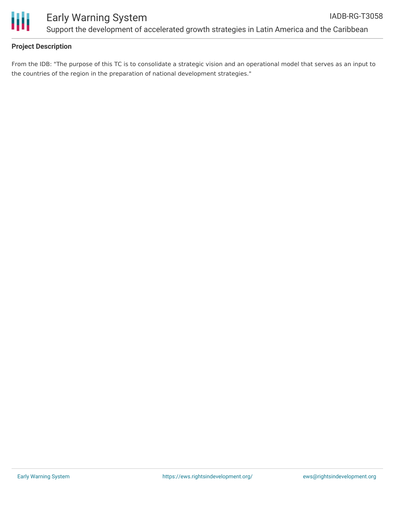

## **Project Description**

From the IDB: "The purpose of this TC is to consolidate a strategic vision and an operational model that serves as an input to the countries of the region in the preparation of national development strategies."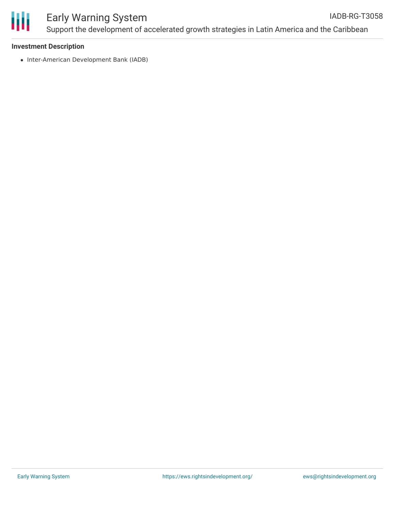

### Early Warning System Support the development of accelerated growth strategies in Latin America and the Caribbean IADB-RG-T3058

#### **Investment Description**

• Inter-American Development Bank (IADB)